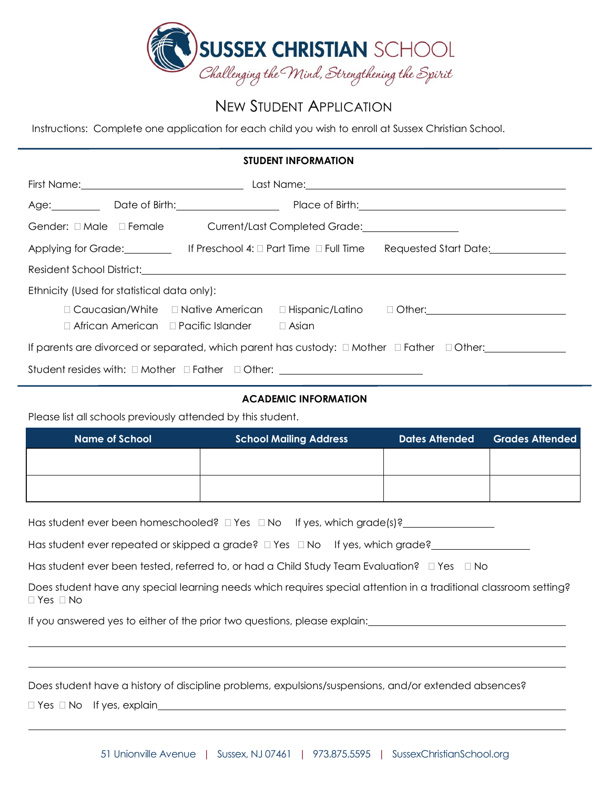

# NEW STUDENT APPLICATION

Instructions: Complete one application for each child you wish to enroll at Sussex Christian School.

## **STUDENT INFORMATION**

|                                                                                                           |  | Age: Date of Birth: 2000 2010                                |  |                                                                                    |  |
|-----------------------------------------------------------------------------------------------------------|--|--------------------------------------------------------------|--|------------------------------------------------------------------------------------|--|
|                                                                                                           |  |                                                              |  |                                                                                    |  |
|                                                                                                           |  |                                                              |  |                                                                                    |  |
|                                                                                                           |  |                                                              |  |                                                                                    |  |
| Ethnicity (Used for statistical data only):                                                               |  |                                                              |  |                                                                                    |  |
|                                                                                                           |  | $\Box$ African American $\Box$ Pacific Islander $\Box$ Asian |  | □ Caucasian/White □ Native American □ Hispanic/Latino □ Other: <u>■ ■ Other: ■</u> |  |
| If parents are divorced or separated, which parent has custody: $\Box$ Mother $\Box$ Father $\Box$ Other: |  |                                                              |  |                                                                                    |  |
| Student resides with: □ Mother □ Father □ Other: _______________________________                          |  |                                                              |  |                                                                                    |  |

# **ACADEMIC INFORMATION**

Please list all schools previously attended by this student.

| <b>Name of School</b> | <b>School Mailing Address</b> | <b>Dates Attended</b> | <b>Grades Attended</b> |
|-----------------------|-------------------------------|-----------------------|------------------------|
|                       |                               |                       |                        |
|                       |                               |                       |                        |
|                       |                               |                       |                        |

Has student ever been homeschooled? Yes No If yes, which grade(s)?

Has student ever repeated or skipped a grade?  $\Box$  Yes  $\Box$  No If yes, which grade?

Has student ever been tested, referred to, or had a Child Study Team Evaluation?  $\Box$  Yes  $\Box$  No

Does student have any special learning needs which requires special attention in a traditional classroom setting?  $\Box$  Yes  $\Box$  No

If you answered yes to either of the prior two questions, please explain:

Does student have a history of discipline problems, expulsions/suspensions, and/or extended absences?

 $\Box$  Yes  $\Box$  No If yes, explain\_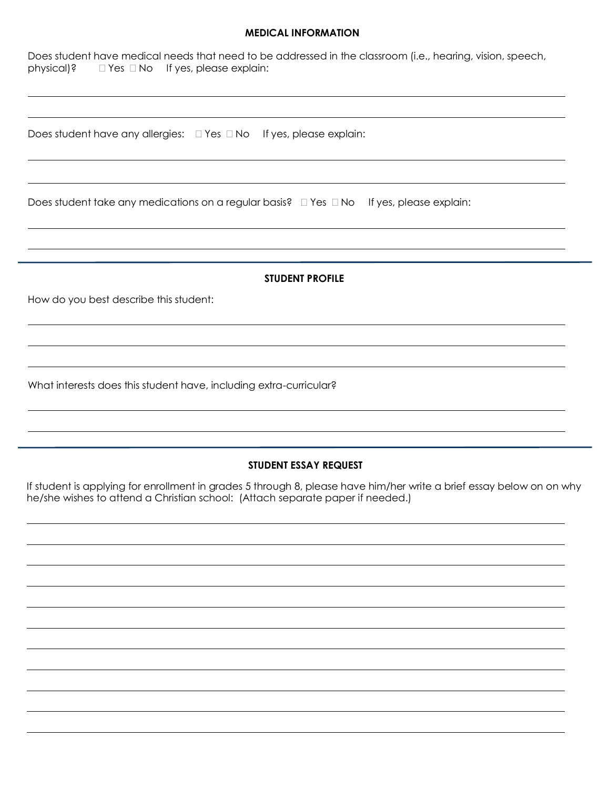## **MEDICAL INFORMATION**

| Does student have medical needs that need to be addressed in the classroom (i.e., hearing, vision, speech,<br>physical)?<br>$\Box$ Yes $\Box$ No If yes, please explain: |  |  |  |  |
|--------------------------------------------------------------------------------------------------------------------------------------------------------------------------|--|--|--|--|
|                                                                                                                                                                          |  |  |  |  |
| Does student have any allergies: $\square$ Yes $\square$ No If yes, please explain:                                                                                      |  |  |  |  |
|                                                                                                                                                                          |  |  |  |  |
| Does student take any medications on a regular basis? $\Box$ Yes $\Box$ No If yes, please explain:                                                                       |  |  |  |  |
|                                                                                                                                                                          |  |  |  |  |
| <b>STUDENT PROFILE</b>                                                                                                                                                   |  |  |  |  |
| How do you best describe this student:                                                                                                                                   |  |  |  |  |
|                                                                                                                                                                          |  |  |  |  |
|                                                                                                                                                                          |  |  |  |  |
| What interests does this student have, including extra-curricular?                                                                                                       |  |  |  |  |
|                                                                                                                                                                          |  |  |  |  |
| STUDENT ESSAY REQUEST                                                                                                                                                    |  |  |  |  |
| If student is applying for enrollment in grades 5 through 8, please have him/her write a brief essay below on on why                                                     |  |  |  |  |

he/she wishes to attend a Christian school: (Attach separate paper if needed.)